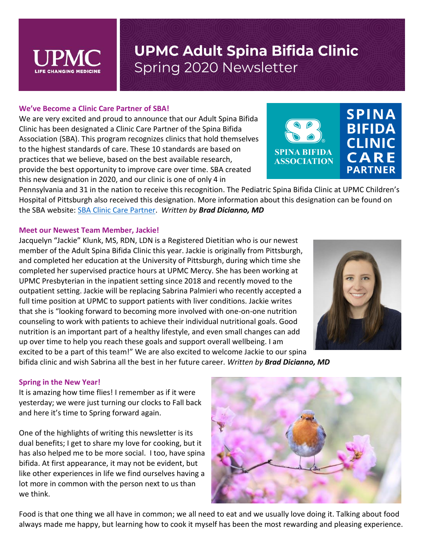

#### **We've Become a Clinic Care Partner of SBA!**

We are very excited and proud to announce that our Adult Spina Bifida Clinic has been designated a Clinic Care Partner of the Spina Bifida Association (SBA). This program recognizes clinics that hold themselves to the highest standards of care. These 10 standards are based on practices that we believe, based on the best available research, provide the best opportunity to improve care over time. SBA created this new designation in 2020, and our clinic is one of only 4 in

Pennsylvania and 31 in the nation to receive this recognition. The Pediatric Spina Bifida Clinic at UPMC Children's Hospital of Pittsburgh also received this designation. More information about this designation can be found on the SBA website: [SBA Clinic Care Partner.](https://nam05.safelinks.protection.outlook.com/?url=https%3A%2F%2Fwww.spinabifidaassociation.org%2Ffor-health-care-professionals%2Fclinic-care-partner%2F&data=02%7C01%7Cdicianno%40pitt.edu%7C9cc7d66fc77a4770141608d7b589e223%7C9ef9f489e0a04eeb87cc3a526112fd0d%7C1%7C0%7C637177476272910914&sdata=RsHuQJnSZXq9ovKP9kPaWW67XYFbSRCwKmvmVrYoeUQ%3D&reserved=0) *Written by Brad Dicianno, MD*

#### **Meet our Newest Team Member, Jackie!**

Jacquelyn "Jackie" Klunk, MS, RDN, LDN is a Registered Dietitian who is our newest member of the Adult Spina Bifida Clinic this year. Jackie is originally from Pittsburgh, and completed her education at the University of Pittsburgh, during which time she completed her supervised practice hours at UPMC Mercy. She has been working at UPMC Presbyterian in the inpatient setting since 2018 and recently moved to the outpatient setting. Jackie will be replacing Sabrina Palmieri who recently accepted a full time position at UPMC to support patients with liver conditions. Jackie writes that she is "looking forward to becoming more involved with one-on-one nutrition counseling to work with patients to achieve their individual nutritional goals. Good nutrition is an important part of a healthy lifestyle, and even small changes can add up over time to help you reach these goals and support overall wellbeing. I am excited to be a part of this team!" We are also excited to welcome Jackie to our spina bifida clinic and wish Sabrina all the best in her future career. *Written by Brad Dicianno, MD*

#### **Spring in the New Year!**

It is amazing how time flies! I remember as if it were yesterday; we were just turning our clocks to Fall back and here it's time to Spring forward again.

One of the highlights of writing this newsletter is its dual benefits; I get to share my love for cooking, but it has also helped me to be more social. I too, have spina bifida. At first appearance, it may not be evident, but like other experiences in life we find ourselves having a lot more in common with the person next to us than we think.



Food is that one thing we all have in common; we all need to eat and we usually love doing it. Talking about food always made me happy, but learning how to cook it myself has been the most rewarding and pleasing experience.



**SPINA BIFIDA** 

**ASSOCIATION** 

**SPINA** 

**BIFIDA** 

**CLINIC** 

CARE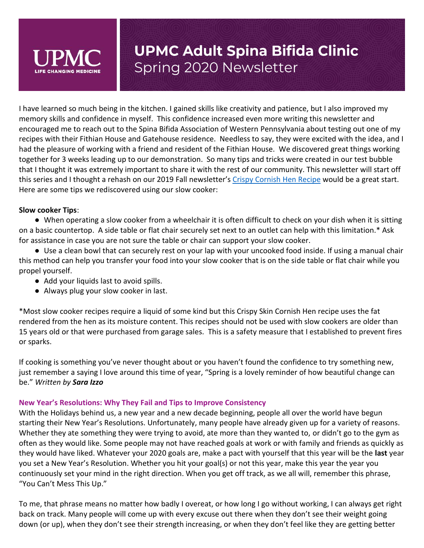

I have learned so much being in the kitchen. I gained skills like creativity and patience, but I also improved my memory skills and confidence in myself. This confidence increased even more writing this newsletter and encouraged me to reach out to the Spina Bifida Association of Western Pennsylvania about testing out one of my recipes with their Fithian House and Gatehouse residence. Needless to say, they were excited with the idea, and I had the pleasure of working with a friend and resident of the Fithian House. We discovered great things working together for 3 weeks leading up to our demonstration. So many tips and tricks were created in our test bubble that I thought it was extremely important to share it with the rest of our community. This newsletter will start off this series and I thought a rehash on our 2019 Fall newsletter's [Crispy Cornish Hen Recipe](https://www.upmc.com/-/media/upmc/services/rehab/physical-medicine-rehab/documents/fall-2019-newsletter.pdf?la=en) would be a great start. Here are some tips we rediscovered using our slow cooker:

### **Slow cooker Tips**:

● When operating a slow cooker from a wheelchair it is often difficult to check on your dish when it is sitting on a basic countertop. A side table or flat chair securely set next to an outlet can help with this limitation.\* Ask for assistance in case you are not sure the table or chair can support your slow cooker.

● Use a clean bowl that can securely rest on your lap with your uncooked food inside. If using a manual chair this method can help you transfer your food into your slow cooker that is on the side table or flat chair while you propel yourself.

- Add your liquids last to avoid spills.
- Always plug your slow cooker in last.

\*Most slow cooker recipes require a liquid of some kind but this Crispy Skin Cornish Hen recipe uses the fat rendered from the hen as its moisture content. This recipes should not be used with slow cookers are older than 15 years old or that were purchased from garage sales. This is a safety measure that I established to prevent fires or sparks.

If cooking is something you've never thought about or you haven't found the confidence to try something new, just remember a saying I love around this time of year, "Spring is a lovely reminder of how beautiful change can be." *Written by Sara Izzo*

### **New Year's Resolutions: Why They Fail and Tips to Improve Consistency**

With the Holidays behind us, a new year and a new decade beginning, people all over the world have begun starting their New Year's Resolutions. Unfortunately, many people have already given up for a variety of reasons. Whether they ate something they were trying to avoid, ate more than they wanted to, or didn't go to the gym as often as they would like. Some people may not have reached goals at work or with family and friends as quickly as they would have liked. Whatever your 2020 goals are, make a pact with yourself that this year will be the **last** year you set a New Year's Resolution. Whether you hit your goal(s) or not this year, make this year the year you continuously set your mind in the right direction. When you get off track, as we all will, remember this phrase, "You Can't Mess This Up."

To me, that phrase means no matter how badly I overeat, or how long I go without working, I can always get right back on track. Many people will come up with every excuse out there when they don't see their weight going down (or up), when they don't see their strength increasing, or when they don't feel like they are getting better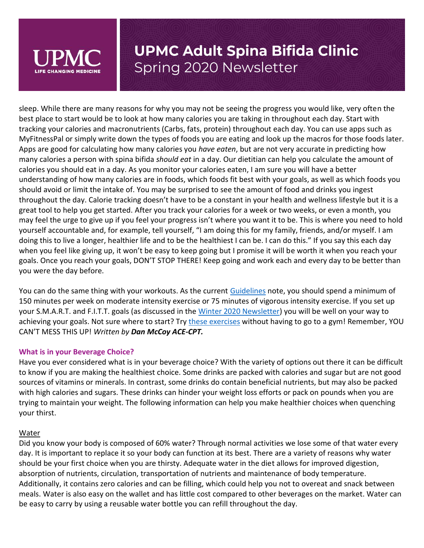

sleep. While there are many reasons for why you may not be seeing the progress you would like, very often the best place to start would be to look at how many calories you are taking in throughout each day. Start with tracking your calories and macronutrients (Carbs, fats, protein) throughout each day. You can use apps such as MyFitnessPal or simply write down the types of foods you are eating and look up the macros for those foods later. Apps are good for calculating how many calories you *have eaten*, but are not very accurate in predicting how many calories a person with spina bifida *should eat* in a day. Our dietitian can help you calculate the amount of calories you should eat in a day. As you monitor your calories eaten, I am sure you will have a better understanding of how many calories are in foods, which foods fit best with your goals, as well as which foods you should avoid or limit the intake of. You may be surprised to see the amount of food and drinks you ingest throughout the day. Calorie tracking doesn't have to be a constant in your health and wellness lifestyle but it is a great tool to help you get started. After you track your calories for a week or two weeks, or even a month, you may feel the urge to give up if you feel your progress isn't where you want it to be. This is where you need to hold yourself accountable and, for example, tell yourself, "I am doing this for my family, friends, and/or myself. I am doing this to live a longer, healthier life and to be the healthiest I can be. I can do this." If you say this each day when you feel like giving up, it won't be easy to keep going but I promise it will be worth it when you reach your goals. Once you reach your goals, DON'T STOP THERE! Keep going and work each and every day to be better than you were the day before.

You can do the same thing with your workouts. As the current [Guidelines](https://www.spinabifidaassociation.org/resource/guidelines-for-people-18-years/) note, you should spend a minimum of 150 minutes per week on moderate intensity exercise or 75 minutes of vigorous intensity exercise. If you set up your S.M.A.R.T. and F.I.T.T. goals (as discussed in the [Winter 2020 Newsletter\)](https://www.upmc.com/-/media/upmc/services/rehab/physical-medicine-rehab/documents/winter-2020-newsletter.pdf?la=en) you will be well on your way to achieving your goals. Not sure where to start? Try [these exercises](https://www.youtube.com/channel/UC8Fp1DipnMo9hawQhS8rmEw?view_as=subscriber) without having to go to a gym! Remember, YOU CAN'T MESS THIS UP! *Written by Dan McCoy ACE-CPT.*

#### **What is in your Beverage Choice?**

Have you ever considered what is in your beverage choice? With the variety of options out there it can be difficult to know if you are making the healthiest choice. Some drinks are packed with calories and sugar but are not good sources of vitamins or minerals. In contrast, some drinks do contain beneficial nutrients, but may also be packed with high calories and sugars. These drinks can hinder your weight loss efforts or pack on pounds when you are trying to maintain your weight. The following information can help you make healthier choices when quenching your thirst.

#### Water

Did you know your body is composed of 60% water? Through normal activities we lose some of that water every day. It is important to replace it so your body can function at its best. There are a variety of reasons why water should be your first choice when you are thirsty. Adequate water in the diet allows for improved digestion, absorption of nutrients, circulation, transportation of nutrients and maintenance of body temperature. Additionally, it contains zero calories and can be filling, which could help you not to overeat and snack between meals. Water is also easy on the wallet and has little cost compared to other beverages on the market. Water can be easy to carry by using a reusable water bottle you can refill throughout the day.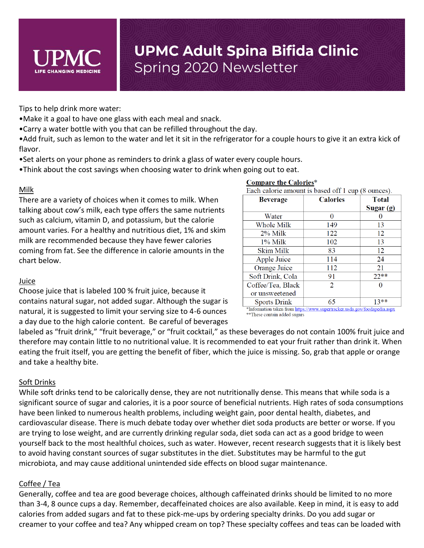

Tips to help drink more water:

- •Make it a goal to have one glass with each meal and snack.
- •Carry a water bottle with you that can be refilled throughout the day.
- •Add fruit, such as lemon to the water and let it sit in the refrigerator for a couple hours to give it an extra kick of flavor.
- •Set alerts on your phone as reminders to drink a glass of water every couple hours.
- •Think about the cost savings when choosing water to drink when going out to eat.

### Milk

There are a variety of choices when it comes to milk. When talking about cow's milk, each type offers the same nutrients such as calcium, vitamin D, and potassium, but the calorie amount varies. For a healthy and nutritious diet, 1% and skim milk are recommended because they have fewer calories coming from fat. See the difference in calorie amounts in the chart below.

| Each calorie amount is based of t1 cup (8 ounces). |                 |              |
|----------------------------------------------------|-----------------|--------------|
| <b>Beverage</b>                                    | <b>Calories</b> | <b>Total</b> |
|                                                    |                 | Sugar (g)    |
| Water                                              | 0               |              |
| Whole Milk                                         | 149             | 13           |
| $2\%$ Milk                                         | 122             | 12           |
| 1% Milk                                            | 102             | 13           |
| Skim Milk                                          | 83              | 12           |
| Apple Juice                                        | 114             | 24           |
| Orange Juice                                       | 112             | 21           |
| Soft Drink, Cola                                   | 91              | $22**$       |
| Coffee/Tea, Black                                  | 2               |              |
| or unsweetened                                     |                 |              |
| <b>Sports Drink</b>                                | 65              | $13**$       |

**Compare the Calories\*** 

#### Juice

Choose juice that is labeled 100 % fruit juice, because it contains natural sugar, not added sugar. Although the sugar is natural, it is suggested to limit your serving size to 4-6 ounces a day due to the high calorie content. Be careful of beverages

\*Information taken from https://www.supertracker.usda.gov/foodapedia.aspx \*\* These contain added sugars

labeled as "fruit drink," "fruit beverage," or "fruit cocktail," as these beverages do not contain 100% fruit juice and therefore may contain little to no nutritional value. It is recommended to eat your fruit rather than drink it. When eating the fruit itself, you are getting the benefit of fiber, which the juice is missing. So, grab that apple or orange and take a healthy bite.

### Soft Drinks

While soft drinks tend to be calorically dense, they are not nutritionally dense. This means that while soda is a significant source of sugar and calories, it is a poor source of beneficial nutrients. High rates of soda consumptions have been linked to numerous health problems, including weight gain, poor dental health, diabetes, and cardiovascular disease. There is much debate today over whether diet soda products are better or worse. If you are trying to lose weight, and are currently drinking regular soda, diet soda can act as a good bridge to ween yourself back to the most healthful choices, such as water. However, recent research suggests that it is likely best to avoid having constant sources of sugar substitutes in the diet. Substitutes may be harmful to the gut microbiota, and may cause additional unintended side effects on blood sugar maintenance.

### Coffee / Tea

Generally, coffee and tea are good beverage choices, although caffeinated drinks should be limited to no more than 3-4, 8 ounce cups a day. Remember, decaffeinated choices are also available. Keep in mind, it is easy to add calories from added sugars and fat to these pick-me-ups by ordering specialty drinks. Do you add sugar or creamer to your coffee and tea? Any whipped cream on top? These specialty coffees and teas can be loaded with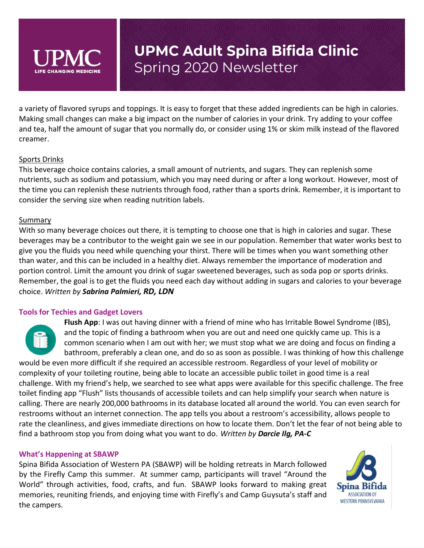

a variety of flavored syrups and toppings. It is easy to forget that these added ingredients can be high in calories. Making small changes can make a big impact on the number of calories in your drink. Try adding to your coffee and tea, half the amount of sugar that you normally do, or consider using 1% or skim milk instead of the flavored creamer.

### Sports Drinks

This beverage choice contains calories, a small amount of nutrients, and sugars. They can replenish some nutrients, such as sodium and potassium, which you may need during or after a long workout. However, most of the time you can replenish these nutrients through food, rather than a sports drink. Remember, it is important to consider the serving size when reading nutrition labels.

#### Summary

With so many beverage choices out there, it is tempting to choose one that is high in calories and sugar. These beverages may be a contributor to the weight gain we see in our population. Remember that water works best to give you the fluids you need while quenching your thirst. There will be times when you want something other than water, and this can be included in a healthy diet. Always remember the importance of moderation and portion control. Limit the amount you drink of sugar sweetened beverages, such as soda pop or sports drinks. Remember, the goal is to get the fluids you need each day without adding in sugars and calories to your beverage choice. *Written by Sabrina Palmieri, RD, LDN*

#### **Tools for Techies and Gadget Lovers**

**Flush App**: I was out having dinner with a friend of mine who has Irritable Bowel Syndrome (IBS), and the topic of finding a bathroom when you are out and need one quickly came up. This is a common scenario when I am out with her; we must stop what we are doing and focus on finding a bathroom, preferably a clean one, and do so as soon as possible. I was thinking of how this challenge would be even more difficult if she required an accessible restroom. Regardless of your level of mobility or complexity of your toileting routine, being able to locate an accessible public toilet in good time is a real challenge. With my friend's help, we searched to see what apps were available for this specific challenge. The free

toilet finding app "Flush" lists thousands of accessible toilets and can help simplify your search when nature is calling. There are nearly 200,000 bathrooms in its database located all around the world. You can even search for restrooms without an internet connection. The app tells you about a restroom's accessibility, allows people to rate the cleanliness, and gives immediate directions on how to locate them. Don't let the fear of not being able to find a bathroom stop you from doing what you want to do. *Written by Darcie Ilg, PA-C*

#### **What's Happening at SBAWP**

Spina Bifida Association of Western PA (SBAWP) will be holding retreats in March followed by the Firefly Camp this summer. At summer camp, participants will travel "Around the World" through activities, food, crafts, and fun. SBAWP looks forward to making great memories, reuniting friends, and enjoying time with Firefly's and Camp Guysuta's staff and the campers.

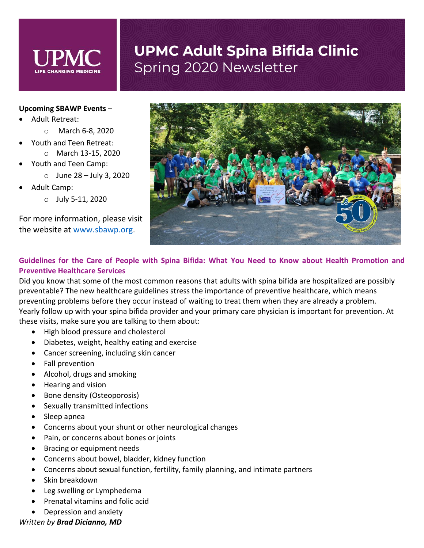#### **Upcoming SBAWP Events** –

- Adult Retreat:
	- o March 6-8, 2020
- Youth and Teen Retreat:
	- o March 13-15, 2020
- Youth and Teen Camp:
	- $\circ$  June 28 July 3, 2020
- Adult Camp:
	- $\circ$  July 5-11, 2020

For more information, please visit the website at [www.sbawp.org.](http://www.sbawp.org/)



### **Guidelines for the Care of People with Spina Bifida: What You Need to Know about Health Promotion and Preventive Healthcare Services**

Did you know that some of the most common reasons that adults with spina bifida are hospitalized are possibly preventable? The new healthcare guidelines stress the importance of preventive healthcare, which means preventing problems before they occur instead of waiting to treat them when they are already a problem. Yearly follow up with your spina bifida provider and your primary care physician is important for prevention. At these visits, make sure you are talking to them about:

- High blood pressure and cholesterol
- Diabetes, weight, healthy eating and exercise
- Cancer screening, including skin cancer
- Fall prevention
- Alcohol, drugs and smoking
- Hearing and vision
- Bone density (Osteoporosis)
- Sexually transmitted infections
- Sleep apnea
- Concerns about your shunt or other neurological changes
- Pain, or concerns about bones or joints
- Bracing or equipment needs
- Concerns about bowel, bladder, kidney function
- Concerns about sexual function, fertility, family planning, and intimate partners
- Skin breakdown
- Leg swelling or Lymphedema
- Prenatal vitamins and folic acid
- Depression and anxiety

#### *Written by Brad Dicianno, MD*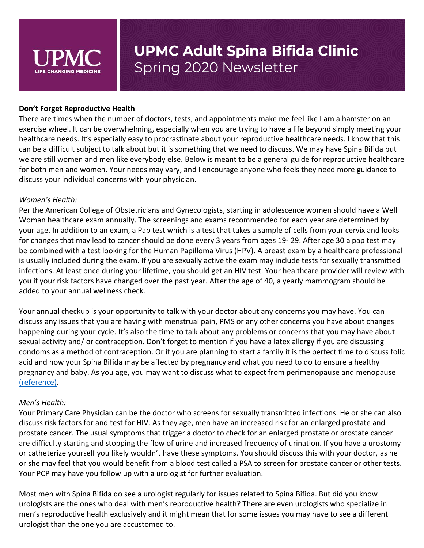

#### **Don't Forget Reproductive Health**

There are times when the number of doctors, tests, and appointments make me feel like I am a hamster on an exercise wheel. It can be overwhelming, especially when you are trying to have a life beyond simply meeting your healthcare needs. It's especially easy to procrastinate about your reproductive healthcare needs. I know that this can be a difficult subject to talk about but it is something that we need to discuss. We may have Spina Bifida but we are still women and men like everybody else. Below is meant to be a general guide for reproductive healthcare for both men and women. Your needs may vary, and I encourage anyone who feels they need more guidance to discuss your individual concerns with your physician.

#### *Women's Health:*

Per the American College of Obstetricians and Gynecologists, starting in adolescence women should have a Well Woman healthcare exam annually. The screenings and exams recommended for each year are determined by your age. In addition to an exam, a Pap test which is a test that takes a sample of cells from your cervix and looks for changes that may lead to cancer should be done every 3 years from ages 19- 29. After age 30 a pap test may be combined with a test looking for the Human Papilloma Virus (HPV). A breast exam by a healthcare professional is usually included during the exam. If you are sexually active the exam may include tests for sexually transmitted infections. At least once during your lifetime, you should get an HIV test. Your healthcare provider will review with you if your risk factors have changed over the past year. After the age of 40, a yearly mammogram should be added to your annual wellness check.

Your annual checkup is your opportunity to talk with your doctor about any concerns you may have. You can discuss any issues that you are having with menstrual pain, PMS or any other concerns you have about changes happening during your cycle. It's also the time to talk about any problems or concerns that you may have about sexual activity and/ or contraception. Don't forget to mention if you have a latex allergy if you are discussing condoms as a method of contraception. Or if you are planning to start a family it is the perfect time to discuss folic acid and how your Spina Bifida may be affected by pregnancy and what you need to do to ensure a healthy pregnancy and baby. As you age, you may want to discuss what to expect from perimenopause and menopause [\(reference\).](https://www.acog.org/About-ACOG/ACOG-Departments/Annual-Womens-Health-Care)

#### *Men's Health:*

Your Primary Care Physician can be the doctor who screens for sexually transmitted infections. He or she can also discuss risk factors for and test for HIV. As they age, men have an increased risk for an enlarged prostate and prostate cancer. The usual symptoms that trigger a doctor to check for an enlarged prostate or prostate cancer are difficulty starting and stopping the flow of urine and increased frequency of urination. If you have a urostomy or catheterize yourself you likely wouldn't have these symptoms. You should discuss this with your doctor, as he or she may feel that you would benefit from a blood test called a PSA to screen for prostate cancer or other tests. Your PCP may have you follow up with a urologist for further evaluation.

Most men with Spina Bifida do see a urologist regularly for issues related to Spina Bifida. But did you know urologists are the ones who deal with men's reproductive health? There are even urologists who specialize in men's reproductive health exclusively and it might mean that for some issues you may have to see a different urologist than the one you are accustomed to.